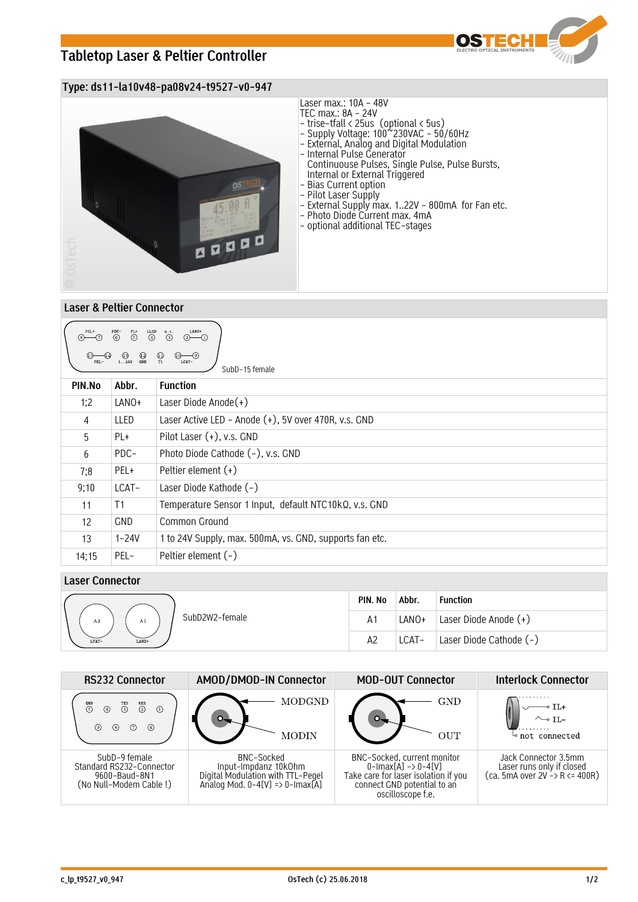# **Tabletop Laser & Peltier Controller**



## **Type: ds11-la10v48-pa08v24-t9527-v0-947**



### **Laser & Peltier Connector**

| LANO+<br>PEL+<br>PDC-<br>$\overset{\text{PL+}}{\odot}$<br>$\binom{6}{}$<br>$\odot$<br>$\odot$<br>$(2)$ (1)<br>$^{\bigodot}_{\text{GND}}$<br>$\bigoplus_{T1}$<br>$\bigcirc$ <sub>124V</sub><br>(1)<br>–(9)<br>LCAT-<br>SubD-15 female |            |                                                         |  |  |  |  |
|--------------------------------------------------------------------------------------------------------------------------------------------------------------------------------------------------------------------------------------|------------|---------------------------------------------------------|--|--|--|--|
| PIN.No                                                                                                                                                                                                                               | Abbr.      | <b>Function</b>                                         |  |  |  |  |
| 1:2                                                                                                                                                                                                                                  | LANO+      | Laser Diode Anode $(+)$                                 |  |  |  |  |
| 4                                                                                                                                                                                                                                    | LLED       | Laser Active LED - Anode (+), 5V over 470R, v.s. GND    |  |  |  |  |
| 5                                                                                                                                                                                                                                    | PL+        | Pilot Laser $(+)$ , v.s. GND                            |  |  |  |  |
| 6                                                                                                                                                                                                                                    | PDC-       | Photo Diode Cathode (-), v.s. GND                       |  |  |  |  |
| 7;8                                                                                                                                                                                                                                  | PEL+       | Peltier element $(+)$                                   |  |  |  |  |
| 9;10                                                                                                                                                                                                                                 | LCAT-      | Laser Diode Kathode (-)                                 |  |  |  |  |
| 11                                                                                                                                                                                                                                   | T1         | Temperature Sensor 1 Input, default NTC10kQ, v.s. GND   |  |  |  |  |
| 12                                                                                                                                                                                                                                   | <b>GND</b> | Common Ground                                           |  |  |  |  |
| 13                                                                                                                                                                                                                                   | $1 - 24V$  | 1 to 24V Supply, max. 500mA, vs. GND, supports fan etc. |  |  |  |  |
| 14;15                                                                                                                                                                                                                                | PEL-       | Peltier element $(-)$                                   |  |  |  |  |

## **Laser Connector**

|                                        | PIN. No        | Abbr. | <b>Function</b>         |
|----------------------------------------|----------------|-------|-------------------------|
| SubD2W2-female<br>A <sub>2</sub><br>A1 | A <sup>1</sup> | LANO+ | Laser Diode Anode (+)   |
| LCAT-<br>LANO+                         | A2             | LCAT- | Laser Diode Cathode (-) |

| <b>RS232 Connector</b>                                                               | AMOD/DMOD-IN Connector                                                                                     | <b>MOD-OUT Connector</b>                                                                                                                                          | <b>Interlock Connector</b>                                                           |
|--------------------------------------------------------------------------------------|------------------------------------------------------------------------------------------------------------|-------------------------------------------------------------------------------------------------------------------------------------------------------------------|--------------------------------------------------------------------------------------|
| $\overline{2}$<br><sub>GND</sub><br>$\overline{3}$<br>$\Omega$<br>(8)<br>(6)<br>(9)  | MODGND<br><b>MODIN</b>                                                                                     | GND<br>OUT                                                                                                                                                        | not connected                                                                        |
| SubD-9 female<br>Standard RS232-Connector<br>9600-Baud-8N1<br>(No Null-Modem Cable!) | BNC-Socked<br>Input-Impdanz 10kOhm<br>Digital Modulation with TTL-Pegel<br>Analog Mod. 0-4[V] => 0-Imax[A] | BNC-Socked, current monitor<br>$0$ -Imax $[A] \rightarrow 0$ -4 $[V]$<br>Take care for laser isolation if you<br>connect GND potential to an<br>oscilloscope f.e. | Jack Connector 3.5mm<br>Laser runs only if closed<br>$(ca. 5mA over 2V - R <= 400R)$ |